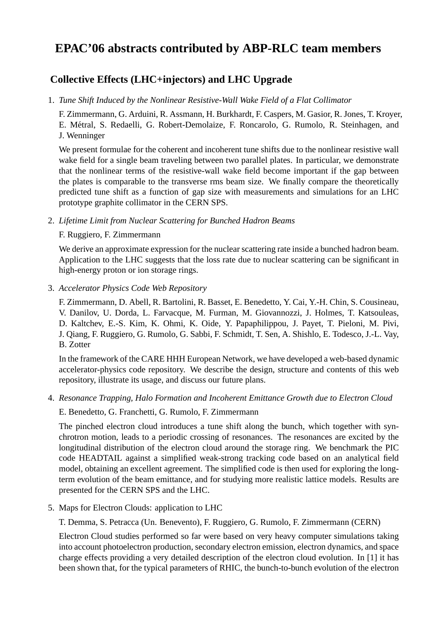# **EPAC'06 abstracts contributed by ABP-RLC team members**

# **Collective Effects (LHC+injectors) and LHC Upgrade**

1. *Tune Shift Induced by the Nonlinear Resistive-Wall Wake Field of a Flat Collimator*

F. Zimmermann, G. Arduini, R. Assmann, H. Burkhardt, F. Caspers, M. Gasior, R. Jones, T. Kroyer, E. Metral, S. Redaelli, G. Robert-Demolaize, F. Roncarolo, G. Rumolo, R. Steinhagen, and ´ J. Wenninger

We present formulae for the coherent and incoherent tune shifts due to the nonlinear resistive wall wake field for a single beam traveling between two parallel plates. In particular, we demonstrate that the nonlinear terms of the resistive-wall wake field become important if the gap between the plates is comparable to the transverse rms beam size. We finally compare the theoretically predicted tune shift as a function of gap size with measurements and simulations for an LHC prototype graphite collimator in the CERN SPS.

2. *Lifetime Limit from Nuclear Scattering for Bunched Hadron Beams*

#### F. Ruggiero, F. Zimmermann

We derive an approximate expression for the nuclear scattering rate inside a bunched hadron beam. Application to the LHC suggests that the loss rate due to nuclear scattering can be significant in high-energy proton or ion storage rings.

3. *Accelerator Physics Code Web Repository*

F. Zimmermann, D. Abell, R. Bartolini, R. Basset, E. Benedetto, Y. Cai, Y.-H. Chin, S. Cousineau, V. Danilov, U. Dorda, L. Farvacque, M. Furman, M. Giovannozzi, J. Holmes, T. Katsouleas, D. Kaltchev, E.-S. Kim, K. Ohmi, K. Oide, Y. Papaphilippou, J. Payet, T. Pieloni, M. Pivi, J. Qiang, F. Ruggiero, G. Rumolo, G. Sabbi, F. Schmidt, T. Sen, A. Shishlo, E. Todesco, J.-L. Vay, B. Zotter

In the framework of the CARE HHH European Network, we have developed a web-based dynamic accelerator-physics code repository. We describe the design, structure and contents of this web repository, illustrate its usage, and discuss our future plans.

# 4. *Resonance Trapping, Halo Formation and Incoherent Emittance Growth due to Electron Cloud*

#### E. Benedetto, G. Franchetti, G. Rumolo, F. Zimmermann

The pinched electron cloud introduces a tune shift along the bunch, which together with synchrotron motion, leads to a periodic crossing of resonances. The resonances are excited by the longitudinal distribution of the electron cloud around the storage ring. We benchmark the PIC code HEADTAIL against a simplified weak-strong tracking code based on an analytical field model, obtaining an excellent agreement. The simplified code is then used for exploring the longterm evolution of the beam emittance, and for studying more realistic lattice models. Results are presented for the CERN SPS and the LHC.

5. Maps for Electron Clouds: application to LHC

T. Demma, S. Petracca (Un. Benevento), F. Ruggiero, G. Rumolo, F. Zimmermann (CERN)

Electron Cloud studies performed so far were based on very heavy computer simulations taking into account photoelectron production, secondary electron emission, electron dynamics, and space charge effects providing a very detailed description of the electron cloud evolution. In [1] it has been shown that, for the typical parameters of RHIC, the bunch-to-bunch evolution of the electron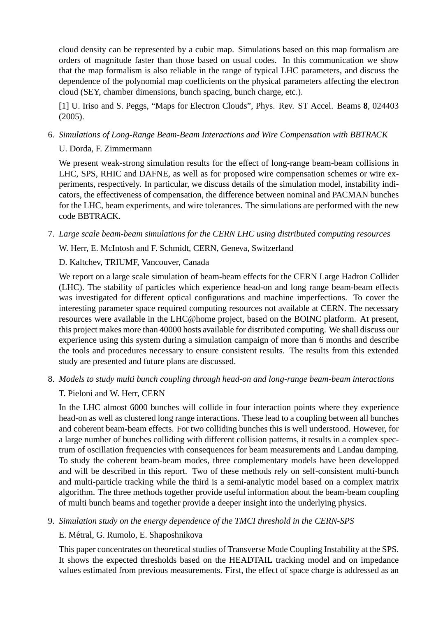cloud density can be represented by a cubic map. Simulations based on this map formalism are orders of magnitude faster than those based on usual codes. In this communication we show that the map formalism is also reliable in the range of typical LHC parameters, and discuss the dependence of the polynomial map coefficients on the physical parameters affecting the electron cloud (SEY, chamber dimensions, bunch spacing, bunch charge, etc.).

[1] U. Iriso and S. Peggs, "Maps for Electron Clouds", Phys. Rev. ST Accel. Beams **8**, 024403 (2005).

6. *Simulations of Long-Range Beam-Beam Interactions and Wire Compensation with BBTRACK*

# U. Dorda, F. Zimmermann

We present weak-strong simulation results for the effect of long-range beam-beam collisions in LHC, SPS, RHIC and DAFNE, as well as for proposed wire compensation schemes or wire experiments, respectively. In particular, we discuss details of the simulation model, instability indicators, the effectiveness of compensation, the difference between nominal and PACMAN bunches for the LHC, beam experiments, and wire tolerances. The simulations are performed with the new code BBTRACK.

7. *Large scale beam-beam simulations for the CERN LHC using distributed computing resources*

W. Herr, E. McIntosh and F. Schmidt, CERN, Geneva, Switzerland

#### D. Kaltchev, TRIUMF, Vancouver, Canada

We report on a large scale simulation of beam-beam effects for the CERN Large Hadron Collider (LHC). The stability of particles which experience head-on and long range beam-beam effects was investigated for different optical configurations and machine imperfections. To cover the interesting parameter space required computing resources not available at CERN. The necessary resources were available in the LHC@home project, based on the BOINC platform. At present, this project makes more than 40000 hosts available for distributed computing. We shall discuss our experience using this system during a simulation campaign of more than 6 months and describe the tools and procedures necessary to ensure consistent results. The results from this extended study are presented and future plans are discussed.

8. *Models to study multi bunch coupling through head-on and long-range beam-beam interactions*

# T. Pieloni and W. Herr, CERN

In the LHC almost 6000 bunches will collide in four interaction points where they experience head-on as well as clustered long range interactions. These lead to a coupling between all bunches and coherent beam-beam effects. For two colliding bunches this is well understood. However, for a large number of bunches colliding with different collision patterns, it results in a complex spectrum of oscillation frequencies with consequences for beam measurements and Landau damping. To study the coherent beam-beam modes, three complementary models have been developped and will be described in this report. Two of these methods rely on self-consistent multi-bunch and multi-particle tracking while the third is a semi-analytic model based on a complex matrix algorithm. The three methods together provide useful information about the beam-beam coupling of multi bunch beams and together provide a deeper insight into the underlying physics.

9. *Simulation study on the energy dependence of the TMCI threshold in the CERN-SPS*

# E. Metral, G. Rumolo, E. Shaposhnikova ´

This paper concentrates on theoretical studies of Transverse Mode Coupling Instability at the SPS. It shows the expected thresholds based on the HEADTAIL tracking model and on impedance values estimated from previous measurements. First, the effect of space charge is addressed as an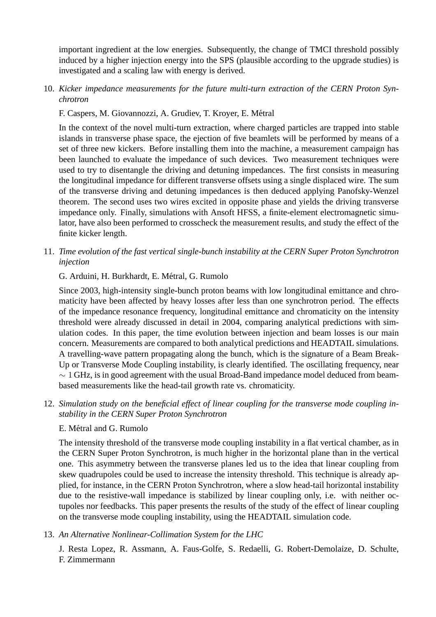important ingredient at the low energies. Subsequently, the change of TMCI threshold possibly induced by a higher injection energy into the SPS (plausible according to the upgrade studies) is investigated and a scaling law with energy is derived.

10. *Kicker impedance measurements for the future multi-turn extraction of the CERN Proton Synchrotron*

F. Caspers, M. Giovannozzi, A. Grudiev, T. Kroyer, E. Metral ´

In the context of the novel multi-turn extraction, where charged particles are trapped into stable islands in transverse phase space, the ejection of five beamlets will be performed by means of a set of three new kickers. Before installing them into the machine, a measurement campaign has been launched to evaluate the impedance of such devices. Two measurement techniques were used to try to disentangle the driving and detuning impedances. The first consists in measuring the longitudinal impedance for different transverse offsets using a single displaced wire. The sum of the transverse driving and detuning impedances is then deduced applying Panofsky-Wenzel theorem. The second uses two wires excited in opposite phase and yields the driving transverse impedance only. Finally, simulations with Ansoft HFSS, a finite-element electromagnetic simulator, have also been performed to crosscheck the measurement results, and study the effect of the finite kicker length.

11. *Time evolution of the fast vertical single-bunch instability at the CERN Super Proton Synchrotron injection*

#### G. Arduini, H. Burkhardt, E. Métral, G. Rumolo

Since 2003, high-intensity single-bunch proton beams with low longitudinal emittance and chromaticity have been affected by heavy losses after less than one synchrotron period. The effects of the impedance resonance frequency, longitudinal emittance and chromaticity on the intensity threshold were already discussed in detail in 2004, comparing analytical predictions with simulation codes. In this paper, the time evolution between injection and beam losses is our main concern. Measurements are compared to both analytical predictions and HEADTAIL simulations. A travelling-wave pattern propagating along the bunch, which is the signature of a Beam Break-Up or Transverse Mode Coupling instability, is clearly identified. The oscillating frequency, near  $\sim$  1 GHz, is in good agreement with the usual Broad-Band impedance model deduced from beambased measurements like the head-tail growth rate vs. chromaticity.

12. *Simulation study on the beneficial effect of linear coupling for the transverse mode coupling instability in the CERN Super Proton Synchrotron*

#### E. Métral and G. Rumolo

The intensity threshold of the transverse mode coupling instability in a flat vertical chamber, as in the CERN Super Proton Synchrotron, is much higher in the horizontal plane than in the vertical one. This asymmetry between the transverse planes led us to the idea that linear coupling from skew quadrupoles could be used to increase the intensity threshold. This technique is already applied, for instance, in the CERN Proton Synchrotron, where a slow head-tail horizontal instability due to the resistive-wall impedance is stabilized by linear coupling only, i.e. with neither octupoles nor feedbacks. This paper presents the results of the study of the effect of linear coupling on the transverse mode coupling instability, using the HEADTAIL simulation code.

# 13. *An Alternative Nonlinear-Collimation System for the LHC*

J. Resta Lopez, R. Assmann, A. Faus-Golfe, S. Redaelli, G. Robert-Demolaize, D. Schulte, F. Zimmermann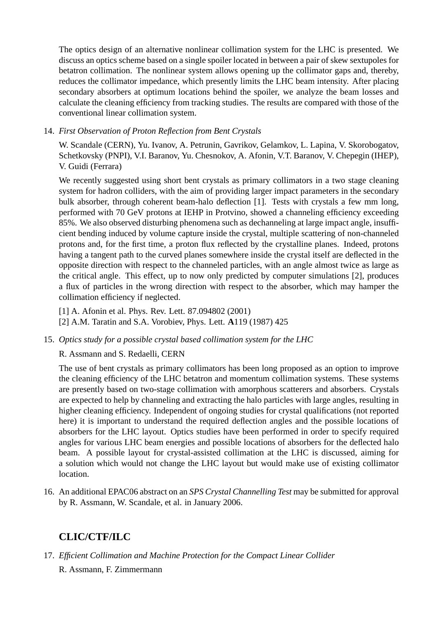The optics design of an alternative nonlinear collimation system for the LHC is presented. We discuss an optics scheme based on a single spoiler located in between a pair of skew sextupoles for betatron collimation. The nonlinear system allows opening up the collimator gaps and, thereby, reduces the collimator impedance, which presently limits the LHC beam intensity. After placing secondary absorbers at optimum locations behind the spoiler, we analyze the beam losses and calculate the cleaning efficiency from tracking studies. The results are compared with those of the conventional linear collimation system.

# 14. *First Observation of Proton Reflection from Bent Crystals*

W. Scandale (CERN), Yu. Ivanov, A. Petrunin, Gavrikov, Gelamkov, L. Lapina, V. Skorobogatov, Schetkovsky (PNPI), V.I. Baranov, Yu. Chesnokov, A. Afonin, V.T. Baranov, V. Chepegin (IHEP), V. Guidi (Ferrara)

We recently suggested using short bent crystals as primary collimators in a two stage cleaning system for hadron colliders, with the aim of providing larger impact parameters in the secondary bulk absorber, through coherent beam-halo deflection [1]. Tests with crystals a few mm long, performed with 70 GeV protons at IEHP in Protvino, showed a channeling efficiency exceeding 85%. We also observed disturbing phenomena such as dechanneling at large impact angle, insufficient bending induced by volume capture inside the crystal, multiple scattering of non-channeled protons and, for the first time, a proton flux reflected by the crystalline planes. Indeed, protons having a tangent path to the curved planes somewhere inside the crystal itself are deflected in the opposite direction with respect to the channeled particles, with an angle almost twice as large as the critical angle. This effect, up to now only predicted by computer simulations [2], produces a flux of particles in the wrong direction with respect to the absorber, which may hamper the collimation efficiency if neglected.

[1] A. Afonin et al. Phys. Rev. Lett. 87.094802 (2001)

[2] A.M. Taratin and S.A. Vorobiev, Phys. Lett. **A**119 (1987) 425

# 15. *Optics study for a possible crystal based collimation system for the LHC*

# R. Assmann and S. Redaelli, CERN

The use of bent crystals as primary collimators has been long proposed as an option to improve the cleaning efficiency of the LHC betatron and momentum collimation systems. These systems are presently based on two-stage collimation with amorphous scatterers and absorbers. Crystals are expected to help by channeling and extracting the halo particles with large angles, resulting in higher cleaning efficiency. Independent of ongoing studies for crystal qualifications (not reported here) it is important to understand the required deflection angles and the possible locations of absorbers for the LHC layout. Optics studies have been performed in order to specify required angles for various LHC beam energies and possible locations of absorbers for the deflected halo beam. A possible layout for crystal-assisted collimation at the LHC is discussed, aiming for a solution which would not change the LHC layout but would make use of existing collimator location.

16. An additional EPAC06 abstract on an *SPS Crystal Channelling Test* may be submitted for approval by R. Assmann, W. Scandale, et al. in January 2006.

# **CLIC/CTF/ILC**

17. *Efficient Collimation and Machine Protection for the Compact Linear Collider* R. Assmann, F. Zimmermann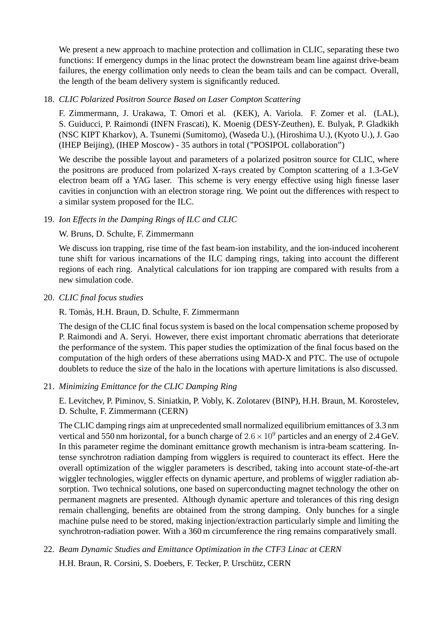We present a new approach to machine protection and collimation in CLIC, separating these two functions: If emergency dumps in the linac protect the downstream beam line against drive-beam failures, the energy collimation only needs to clean the beam tails and can be compact. Overall, the length of the beam delivery system is significantly reduced.

#### 18. *CLIC Polarized Positron Source Based on Laser Compton Scattering*

F. Zimmermann, J. Urakawa, T. Omori et al. (KEK), A. Variola. F. Zomer et al. (LAL), S. Guiducci, P. Raimondi (INFN Frascati), K. Moenig (DESY-Zeuthen), E. Bulyak, P. Gladkikh (NSC KIPT Kharkov), A. Tsunemi (Sumitomo), (Waseda U.), (Hiroshima U.), (Kyoto U.), J. Gao (IHEP Beijing), (IHEP Moscow) - 35 authors in total ("POSIPOL collaboration")

We describe the possible layout and parameters of a polarized positron source for CLIC, where the positrons are produced from polarized X-rays created by Compton scattering of a 1.3-GeV electron beam off a YAG laser. This scheme is very energy effective using high finesse laser cavities in conjunction with an electron storage ring. We point out the differences with respect to a similar system proposed for the ILC.

# 19. *Ion Effects in the Damping Rings of ILC and CLIC*

#### W. Bruns, D. Schulte, F. Zimmermann

We discuss ion trapping, rise time of the fast beam-ion instability, and the ion-induced incoherent tune shift for various incarnations of the ILC damping rings, taking into account the different regions of each ring. Analytical calculations for ion trapping are compared with results from a new simulation code.

20. *CLIC final focus studies*

R. Tomas, H.H. Braun, D. Schulte, F. Zimmermann `

The design of the CLIC final focus system is based on the local compensation scheme proposed by P. Raimondi and A. Seryi. However, there exist important chromatic aberrations that deteriorate the performance of the system. This paper studies the optimization of the final focus based on the computation of the high orders of these aberrations using MAD-X and PTC. The use of octupole doublets to reduce the size of the halo in the locations with aperture limitations is also discussed.

# 21. *Minimizing Emittance for the CLIC Damping Ring*

E. Levitchev, P. Piminov, S. Siniatkin, P. Vobly, K. Zolotarev (BINP), H.H. Braun, M. Korostelev, D. Schulte, F. Zimmermann (CERN)

The CLIC damping rings aim at unprecedented small normalized equilibrium emittances of 3.3 nm vertical and 550 nm horizontal, for a bunch charge of  $2.6 \times 10^9$  particles and an energy of 2.4 GeV. In this parameter regime the dominant emittance growth mechanism is intra-beam scattering. Intense synchrotron radiation damping from wigglers is required to counteract its effect. Here the overall optimization of the wiggler parameters is described, taking into account state-of-the-art wiggler technologies, wiggler effects on dynamic aperture, and problems of wiggler radiation absorption. Two technical solutions, one based on superconducting magnet technology the other on permanent magnets are presented. Although dynamic aperture and tolerances of this ring design remain challenging, benefits are obtained from the strong damping. Only bunches for a single machine pulse need to be stored, making injection/extraction particularly simple and limiting the synchrotron-radiation power. With a 360 m circumference the ring remains comparatively small.

22. *Beam Dynamic Studies and Emittance Optimization in the CTF3 Linac at CERN*

H.H. Braun, R. Corsini, S. Doebers, F. Tecker, P. Urschütz, CERN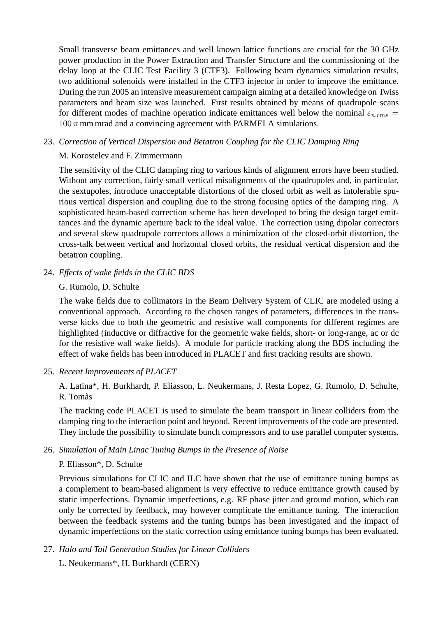Small transverse beam emittances and well known lattice functions are crucial for the 30 GHz power production in the Power Extraction and Transfer Structure and the commissioning of the delay loop at the CLIC Test Facility 3 (CTF3). Following beam dynamics simulation results, two additional solenoids were installed in the CTF3 injector in order to improve the emittance. During the run 2005 an intensive measurement campaign aiming at a detailed knowledge on Twiss parameters and beam size was launched. First results obtained by means of quadrupole scans for different modes of machine operation indicate emittances well below the nominal  $\varepsilon_{n,rms}$  =  $100 \pi$  mm mrad and a convincing agreement with PARMELA simulations.

# 23. *Correction of Vertical Dispersion and Betatron Coupling for the CLIC Damping Ring*

# M. Korostelev and F. Zimmermann

The sensitivity of the CLIC damping ring to various kinds of alignment errors have been studied. Without any correction, fairly small vertical misalignments of the quadrupoles and, in particular, the sextupoles, introduce unacceptable distortions of the closed orbit as well as intolerable spurious vertical dispersion and coupling due to the strong focusing optics of the damping ring. A sophisticated beam-based correction scheme has been developed to bring the design target emittances and the dynamic aperture back to the ideal value. The correction using dipolar correctors and several skew quadrupole correctors allows a minimization of the closed-orbit distortion, the cross-talk between vertical and horizontal closed orbits, the residual vertical dispersion and the betatron coupling.

# 24. *Effects of wake fields in the CLIC BDS*

# G. Rumolo, D. Schulte

The wake fields due to collimators in the Beam Delivery System of CLIC are modeled using a conventional approach. According to the chosen ranges of parameters, differences in the transverse kicks due to both the geometric and resistive wall components for different regimes are highlighted (inductive or diffractive for the geometric wake fields, short- or long-range, ac or dc for the resistive wall wake fields). A module for particle tracking along the BDS including the effect of wake fields has been introduced in PLACET and first tracking results are shown.

# 25. *Recent Improvements of PLACET*

A. Latina\*, H. Burkhardt, P. Eliasson, L. Neukermans, J. Resta Lopez, G. Rumolo, D. Schulte, R. Tomas`

The tracking code PLACET is used to simulate the beam transport in linear colliders from the damping ring to the interaction point and beyond. Recent improvements of the code are presented. They include the possibility to simulate bunch compressors and to use parallel computer systems.

# 26. *Simulation of Main Linac Tuning Bumps in the Presence of Noise*

# P. Eliasson\*, D. Schulte

Previous simulations for CLIC and ILC have shown that the use of emittance tuning bumps as a complement to beam-based alignment is very effective to reduce emittance growth caused by static imperfections. Dynamic imperfections, e.g. RF phase jitter and ground motion, which can only be corrected by feedback, may however complicate the emittance tuning. The interaction between the feedback systems and the tuning bumps has been investigated and the impact of dynamic imperfections on the static correction using emittance tuning bumps has been evaluated.

# 27. *Halo and Tail Generation Studies for Linear Colliders*

L. Neukermans\*, H. Burkhardt (CERN)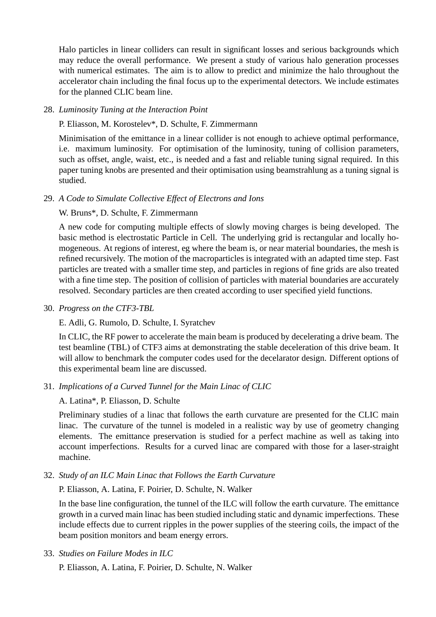Halo particles in linear colliders can result in significant losses and serious backgrounds which may reduce the overall performance. We present a study of various halo generation processes with numerical estimates. The aim is to allow to predict and minimize the halo throughout the accelerator chain including the final focus up to the experimental detectors. We include estimates for the planned CLIC beam line.

#### 28. *Luminosity Tuning at the Interaction Point*

#### P. Eliasson, M. Korostelev\*, D. Schulte, F. Zimmermann

Minimisation of the emittance in a linear collider is not enough to achieve optimal performance, i.e. maximum luminosity. For optimisation of the luminosity, tuning of collision parameters, such as offset, angle, waist, etc., is needed and a fast and reliable tuning signal required. In this paper tuning knobs are presented and their optimisation using beamstrahlung as a tuning signal is studied.

#### 29. *A Code to Simulate Collective Effect of Electrons and Ions*

#### W. Bruns\*, D. Schulte, F. Zimmermann

A new code for computing multiple effects of slowly moving charges is being developed. The basic method is electrostatic Particle in Cell. The underlying grid is rectangular and locally homogeneous. At regions of interest, eg where the beam is, or near material boundaries, the mesh is refined recursively. The motion of the macroparticles is integrated with an adapted time step. Fast particles are treated with a smaller time step, and particles in regions of fine grids are also treated with a fine time step. The position of collision of particles with material boundaries are accurately resolved. Secondary particles are then created according to user specified yield functions.

#### 30. *Progress on the CTF3-TBL*

# E. Adli, G. Rumolo, D. Schulte, I. Syratchev

In CLIC, the RF power to accelerate the main beam is produced by decelerating a drive beam. The test beamline (TBL) of CTF3 aims at demonstrating the stable deceleration of this drive beam. It will allow to benchmark the computer codes used for the decelarator design. Different options of this experimental beam line are discussed.

# 31. *Implications of a Curved Tunnel for the Main Linac of CLIC*

# A. Latina\*, P. Eliasson, D. Schulte

Preliminary studies of a linac that follows the earth curvature are presented for the CLIC main linac. The curvature of the tunnel is modeled in a realistic way by use of geometry changing elements. The emittance preservation is studied for a perfect machine as well as taking into account imperfections. Results for a curved linac are compared with those for a laser-straight machine.

# 32. *Study of an ILC Main Linac that Follows the Earth Curvature*

P. Eliasson, A. Latina, F. Poirier, D. Schulte, N. Walker

In the base line configuration, the tunnel of the ILC will follow the earth curvature. The emittance growth in a curved main linac has been studied including static and dynamic imperfections. These include effects due to current ripples in the power supplies of the steering coils, the impact of the beam position monitors and beam energy errors.

33. *Studies on Failure Modes in ILC*

P. Eliasson, A. Latina, F. Poirier, D. Schulte, N. Walker